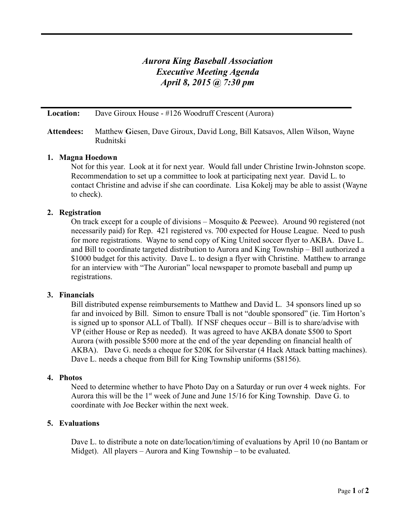# *Aurora King Baseball Association Executive Meeting Agenda April 8, 2015 @ 7:30 pm*

**Location:** Dave Giroux House - #126 Woodruff Crescent (Aurora)

# **Attendees:** Matthew **G**iesen, Dave Giroux, David Long, Bill Katsavos, Allen Wilson, Wayne Rudnitski

# **1. Magna Hoedown**

Not for this year. Look at it for next year. Would fall under Christine Irwin-Johnston scope. Recommendation to set up a committee to look at participating next year. David L. to contact Christine and advise if she can coordinate. Lisa Kokelj may be able to assist (Wayne to check).

# **2. Registration**

On track except for a couple of divisions – Mosquito & Peewee). Around 90 registered (not necessarily paid) for Rep. 421 registered vs. 700 expected for House League. Need to push for more registrations. Wayne to send copy of King United soccer flyer to AKBA. Dave L. and Bill to coordinate targeted distribution to Aurora and King Township – Bill authorized a \$1000 budget for this activity. Dave L. to design a flyer with Christine. Matthew to arrange for an interview with "The Aurorian" local newspaper to promote baseball and pump up registrations.

## **3. Financials**

Bill distributed expense reimbursements to Matthew and David L. 34 sponsors lined up so far and invoiced by Bill. Simon to ensure Tball is not "double sponsored" (ie. Tim Horton's is signed up to sponsor ALL of Tball). If NSF cheques occur – Bill is to share/advise with VP (either House or Rep as needed). It was agreed to have AKBA donate \$500 to Sport Aurora (with possible \$500 more at the end of the year depending on financial health of AKBA). Dave G. needs a cheque for \$20K for Silverstar (4 Hack Attack batting machines). Dave L. needs a cheque from Bill for King Township uniforms (\$8156).

#### **4. Photos**

Need to determine whether to have Photo Day on a Saturday or run over 4 week nights. For Aurora this will be the  $1<sup>st</sup>$  week of June and June 15/16 for King Township. Dave G. to coordinate with Joe Becker within the next week.

#### **5. Evaluations**

Dave L. to distribute a note on date/location/timing of evaluations by April 10 (no Bantam or Midget). All players – Aurora and King Township – to be evaluated.